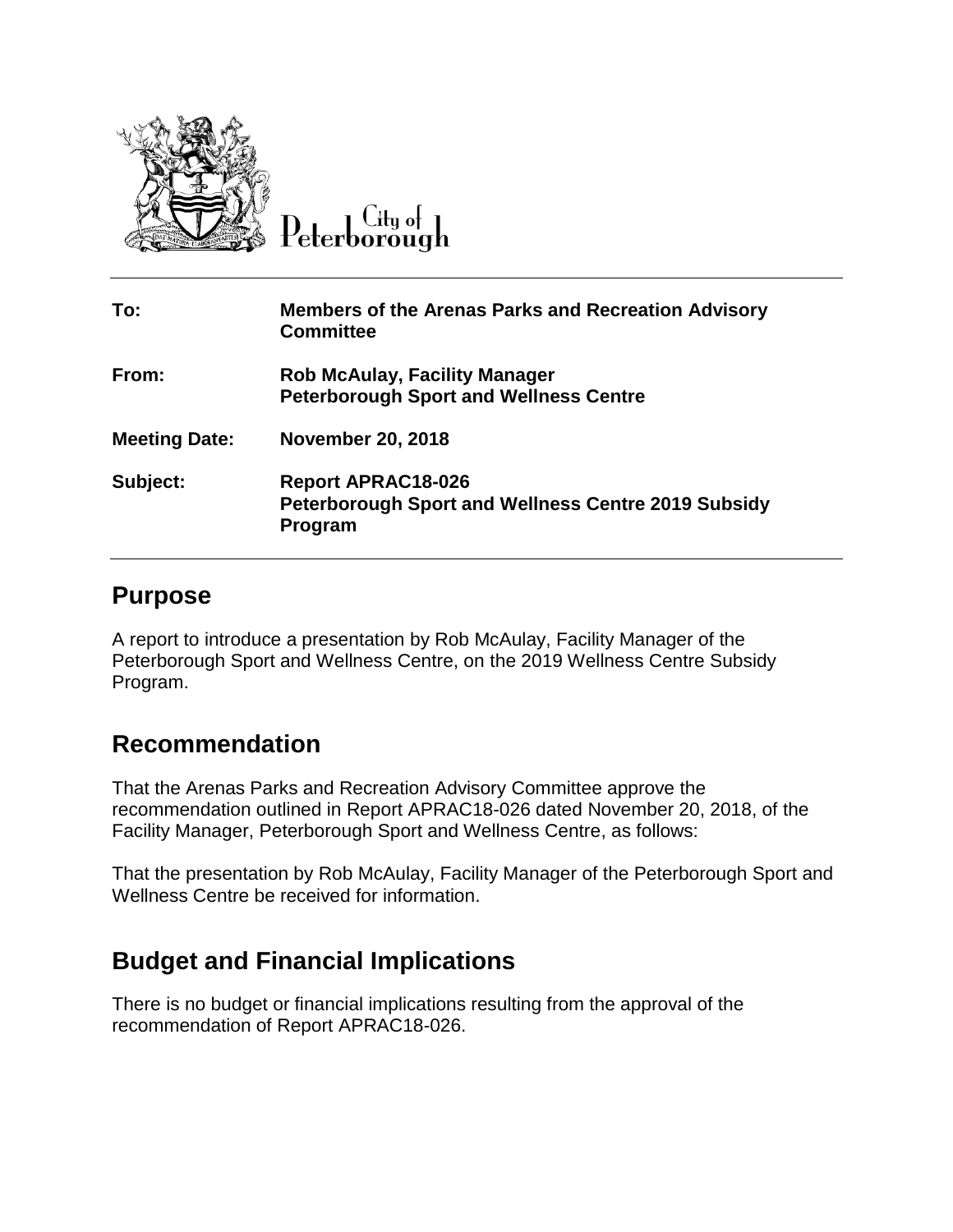

 $C$ ity of Peterborough

| To:                  | <b>Members of the Arenas Parks and Recreation Advisory</b><br><b>Committee</b>                     |
|----------------------|----------------------------------------------------------------------------------------------------|
| From:                | <b>Rob McAulay, Facility Manager</b><br><b>Peterborough Sport and Wellness Centre</b>              |
| <b>Meeting Date:</b> | <b>November 20, 2018</b>                                                                           |
| Subject:             | <b>Report APRAC18-026</b><br><b>Peterborough Sport and Wellness Centre 2019 Subsidy</b><br>Program |

## **Purpose**

A report to introduce a presentation by Rob McAulay, Facility Manager of the Peterborough Sport and Wellness Centre, on the 2019 Wellness Centre Subsidy Program.

## **Recommendation**

That the Arenas Parks and Recreation Advisory Committee approve the recommendation outlined in Report APRAC18-026 dated November 20, 2018, of the Facility Manager, Peterborough Sport and Wellness Centre, as follows:

That the presentation by Rob McAulay, Facility Manager of the Peterborough Sport and Wellness Centre be received for information.

## **Budget and Financial Implications**

There is no budget or financial implications resulting from the approval of the recommendation of Report APRAC18-026.